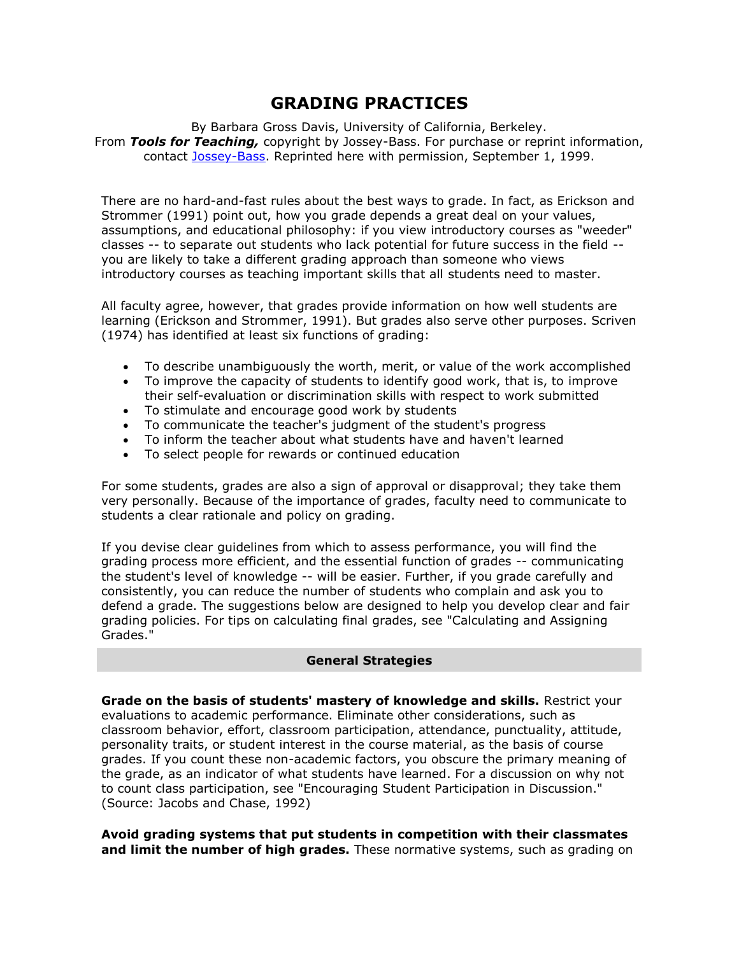# **GRADING PRACTICES**

By Barbara Gross Davis, University of California, Berkeley. From *Tools for Teaching,* copyright by Jossey-Bass. For purchase or reprint information, contact [Jossey-Bass.](http://www.josseybass.com/) Reprinted here with permission, September 1, 1999.

There are no hard-and-fast rules about the best ways to grade. In fact, as Erickson and Strommer (1991) point out, how you grade depends a great deal on your values, assumptions, and educational philosophy: if you view introductory courses as "weeder" classes -- to separate out students who lack potential for future success in the field - you are likely to take a different grading approach than someone who views introductory courses as teaching important skills that all students need to master.

All faculty agree, however, that grades provide information on how well students are learning (Erickson and Strommer, 1991). But grades also serve other purposes. Scriven (1974) has identified at least six functions of grading:

- 
- To describe unambiguously the worth, merit, or value of the work accomplished<br>• To improve the capacity of students to identify good work, that is, to improve To improve the capacity of students to identify good work, that is, to improve their self-evaluation or discrimination skills with respect to work submitted
- To stimulate and encourage good work by students
- To communicate the teacher's judgment of the student's progress
- To inform the teacher about what students have and haven't learned
- To select people for rewards or continued education

For some students, grades are also a sign of approval or disapproval; they take them very personally. Because of the importance of grades, faculty need to communicate to students a clear rationale and policy on grading.

If you devise clear guidelines from which to assess performance, you will find the grading process more efficient, and the essential function of grades -- communicating the student's level of knowledge -- will be easier. Further, if you grade carefully and consistently, you can reduce the number of students who complain and ask you to defend a grade. The suggestions below are designed to help you develop clear and fair grading policies. For tips on calculating final grades, see "Calculating and Assigning Grades."

## **General Strategies**

**Grade on the basis of students' mastery of knowledge and skills.** Restrict your evaluations to academic performance. Eliminate other considerations, such as classroom behavior, effort, classroom participation, attendance, punctuality, attitude, personality traits, or student interest in the course material, as the basis of course grades. If you count these non-academic factors, you obscure the primary meaning of the grade, as an indicator of what students have learned. For a discussion on why not to count class participation, see "Encouraging Student Participation in Discussion." (Source: Jacobs and Chase, 1992)

**Avoid grading systems that put students in competition with their classmates and limit the number of high grades.** These normative systems, such as grading on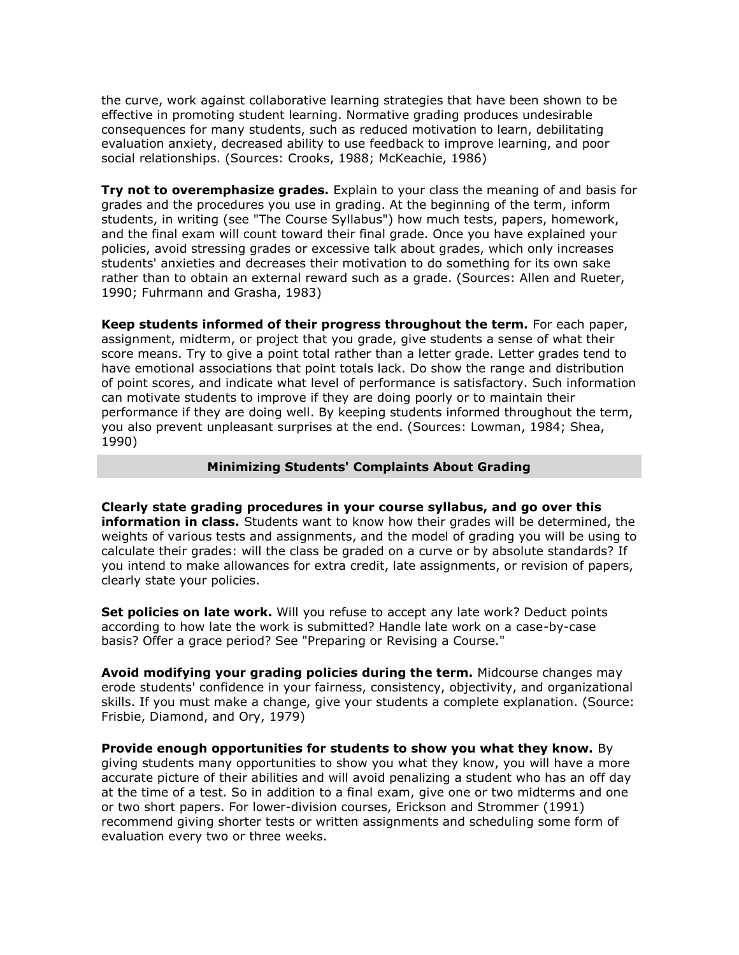the curve, work against collaborative learning strategies that have been shown to be effective in promoting student learning. Normative grading produces undesirable consequences for many students, such as reduced motivation to learn, debilitating evaluation anxiety, decreased ability to use feedback to improve learning, and poor social relationships. (Sources: Crooks, 1988; McKeachie, 1986)

**Try not to overemphasize grades.** Explain to your class the meaning of and basis for grades and the procedures you use in grading. At the beginning of the term, inform students, in writing (see "The Course Syllabus") how much tests, papers, homework, and the final exam will count toward their final grade. Once you have explained your policies, avoid stressing grades or excessive talk about grades, which only increases students' anxieties and decreases their motivation to do something for its own sake rather than to obtain an external reward such as a grade. (Sources: Allen and Rueter, 1990; Fuhrmann and Grasha, 1983)

**Keep students informed of their progress throughout the term.** For each paper, assignment, midterm, or project that you grade, give students a sense of what their score means. Try to give a point total rather than a letter grade. Letter grades tend to have emotional associations that point totals lack. Do show the range and distribution of point scores, and indicate what level of performance is satisfactory. Such information can motivate students to improve if they are doing poorly or to maintain their performance if they are doing well. By keeping students informed throughout the term, you also prevent unpleasant surprises at the end. (Sources: Lowman, 1984; Shea, 1990)

#### **Minimizing Students' Complaints About Grading**

**Clearly state grading procedures in your course syllabus, and go over this information in class.** Students want to know how their grades will be determined, the weights of various tests and assignments, and the model of grading you will be using to calculate their grades: will the class be graded on a curve or by absolute standards? If you intend to make allowances for extra credit, late assignments, or revision of papers, clearly state your policies.

**Set policies on late work.** Will you refuse to accept any late work? Deduct points according to how late the work is submitted? Handle late work on a case-by-case basis? Offer a grace period? See "Preparing or Revising a Course."

**Avoid modifying your grading policies during the term.** Midcourse changes may erode students' confidence in your fairness, consistency, objectivity, and organizational skills. If you must make a change, give your students a complete explanation. (Source: Frisbie, Diamond, and Ory, 1979)

**Provide enough opportunities for students to show you what they know.** By giving students many opportunities to show you what they know, you will have a more accurate picture of their abilities and will avoid penalizing a student who has an off day at the time of a test. So in addition to a final exam, give one or two midterms and one or two short papers. For lower-division courses, Erickson and Strommer (1991) recommend giving shorter tests or written assignments and scheduling some form of evaluation every two or three weeks.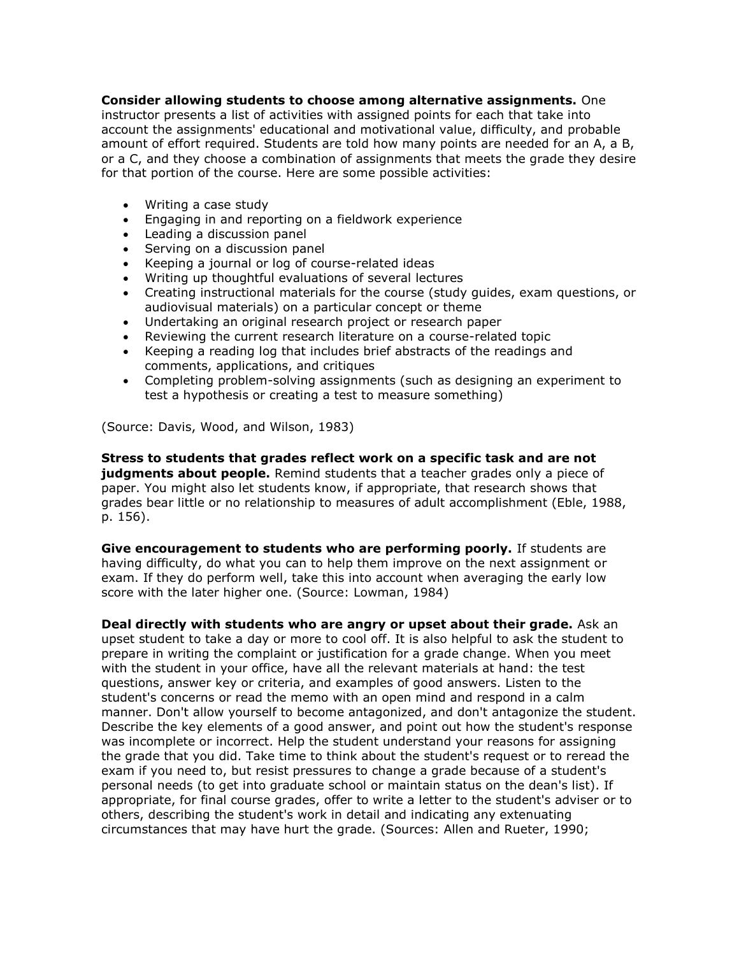## **Consider allowing students to choose among alternative assignments.** One

instructor presents a list of activities with assigned points for each that take into account the assignments' educational and motivational value, difficulty, and probable amount of effort required. Students are told how many points are needed for an A, a B, or a C, and they choose a combination of assignments that meets the grade they desire for that portion of the course. Here are some possible activities:

- Writing a case study
- Engaging in and reporting on a fieldwork experience
- Leading a discussion panel
- Serving on a discussion panel
- Keeping a journal or log of course-related ideas
- Writing up thoughtful evaluations of several lectures
- Creating instructional materials for the course (study guides, exam questions, or audiovisual materials) on a particular concept or theme
- Undertaking an original research project or research paper
- Reviewing the current research literature on a course-related topic
- Keeping a reading log that includes brief abstracts of the readings and comments, applications, and critiques
- Completing problem-solving assignments (such as designing an experiment to test a hypothesis or creating a test to measure something)

(Source: Davis, Wood, and Wilson, 1983)

**Stress to students that grades reflect work on a specific task and are not judgments about people.** Remind students that a teacher grades only a piece of paper. You might also let students know, if appropriate, that research shows that grades bear little or no relationship to measures of adult accomplishment (Eble, 1988, p. 156).

**Give encouragement to students who are performing poorly.** If students are having difficulty, do what you can to help them improve on the next assignment or exam. If they do perform well, take this into account when averaging the early low score with the later higher one. (Source: Lowman, 1984)

**Deal directly with students who are angry or upset about their grade.** Ask an upset student to take a day or more to cool off. It is also helpful to ask the student to prepare in writing the complaint or justification for a grade change. When you meet with the student in your office, have all the relevant materials at hand: the test questions, answer key or criteria, and examples of good answers. Listen to the student's concerns or read the memo with an open mind and respond in a calm manner. Don't allow yourself to become antagonized, and don't antagonize the student. Describe the key elements of a good answer, and point out how the student's response was incomplete or incorrect. Help the student understand your reasons for assigning the grade that you did. Take time to think about the student's request or to reread the exam if you need to, but resist pressures to change a grade because of a student's personal needs (to get into graduate school or maintain status on the dean's list). If appropriate, for final course grades, offer to write a letter to the student's adviser or to others, describing the student's work in detail and indicating any extenuating circumstances that may have hurt the grade. (Sources: Allen and Rueter, 1990;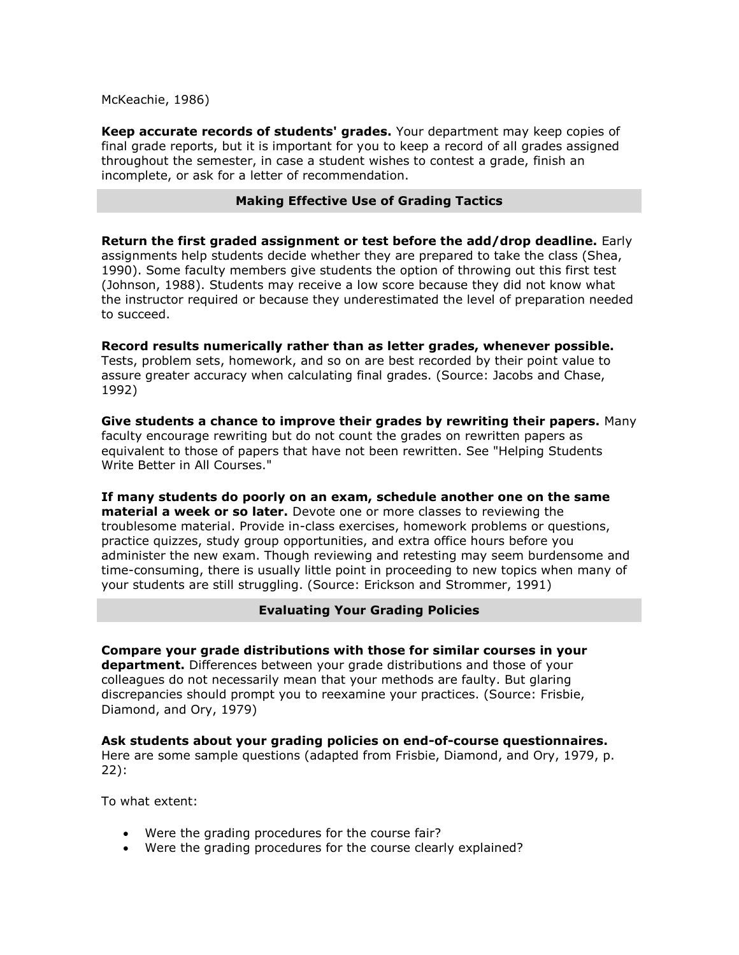McKeachie, 1986)

**Keep accurate records of students' grades.** Your department may keep copies of final grade reports, but it is important for you to keep a record of all grades assigned throughout the semester, in case a student wishes to contest a grade, finish an incomplete, or ask for a letter of recommendation.

### **Making Effective Use of Grading Tactics**

**Return the first graded assignment or test before the add/drop deadline.** Early assignments help students decide whether they are prepared to take the class (Shea, 1990). Some faculty members give students the option of throwing out this first test (Johnson, 1988). Students may receive a low score because they did not know what the instructor required or because they underestimated the level of preparation needed to succeed.

**Record results numerically rather than as letter grades, whenever possible.** Tests, problem sets, homework, and so on are best recorded by their point value to assure greater accuracy when calculating final grades. (Source: Jacobs and Chase, 1992)

**Give students a chance to improve their grades by rewriting their papers.** Many faculty encourage rewriting but do not count the grades on rewritten papers as equivalent to those of papers that have not been rewritten. See "Helping Students Write Better in All Courses."

**If many students do poorly on an exam, schedule another one on the same material a week or so later.** Devote one or more classes to reviewing the troublesome material. Provide in-class exercises, homework problems or questions, practice quizzes, study group opportunities, and extra office hours before you administer the new exam. Though reviewing and retesting may seem burdensome and time-consuming, there is usually little point in proceeding to new topics when many of your students are still struggling. (Source: Erickson and Strommer, 1991)

**Evaluating Your Grading Policies**

**Compare your grade distributions with those for similar courses in your department.** Differences between your grade distributions and those of your colleagues do not necessarily mean that your methods are faulty. But glaring discrepancies should prompt you to reexamine your practices. (Source: Frisbie, Diamond, and Ory, 1979)

**Ask students about your grading policies on end-of-course questionnaires.** Here are some sample questions (adapted from Frisbie, Diamond, and Ory, 1979, p. 22):

To what extent:

- Were the grading procedures for the course fair?
- Were the grading procedures for the course clearly explained?